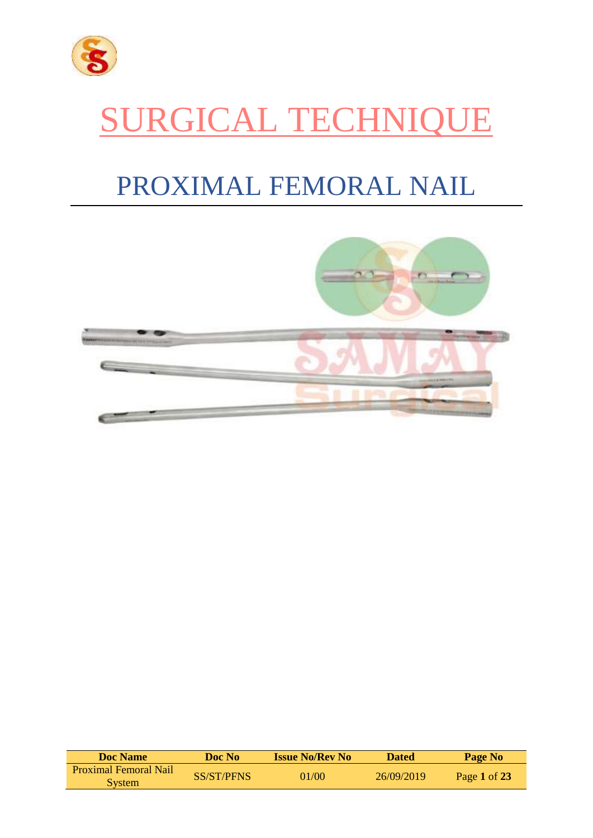

# SURGICAL TECHNIQUE

# PROXIMAL FEMORAL NAIL



| <b>Doc Name</b>                               | Doc No     | <b>Issue No/Rev No</b> | <b>Dated</b> | Page No      |
|-----------------------------------------------|------------|------------------------|--------------|--------------|
| <b>Proximal Femoral Nail</b><br><b>System</b> | SS/ST/PFNS | 01/00                  | 26/09/2019   | Page 1 of 23 |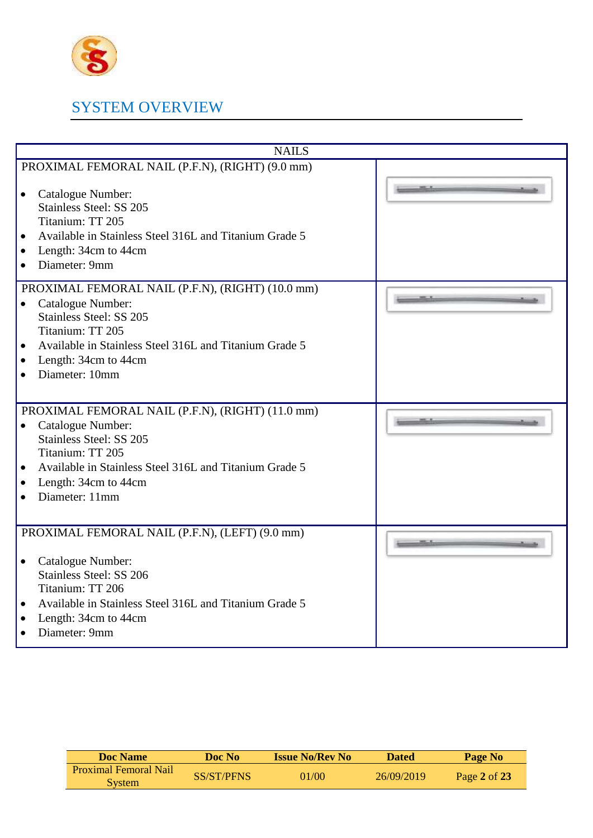

# SYSTEM OVERVIEW

| <b>NAILS</b>                                                                                                                                                                                                                                                                      |  |
|-----------------------------------------------------------------------------------------------------------------------------------------------------------------------------------------------------------------------------------------------------------------------------------|--|
| PROXIMAL FEMORAL NAIL (P.F.N), (RIGHT) (9.0 mm)<br>Catalogue Number:<br>$\bullet$<br><b>Stainless Steel: SS 205</b><br>Titanium: TT 205<br>Available in Stainless Steel 316L and Titanium Grade 5<br>$\bullet$<br>Length: 34cm to 44cm<br>$\bullet$<br>Diameter: 9mm<br>$\bullet$ |  |
| PROXIMAL FEMORAL NAIL (P.F.N), (RIGHT) (10.0 mm)<br>Catalogue Number:<br>$\bullet$<br>Stainless Steel: SS 205<br>Titanium: TT 205<br>Available in Stainless Steel 316L and Titanium Grade 5<br>$\bullet$<br>Length: 34cm to 44cm<br>$\bullet$<br>Diameter: 10mm                   |  |
| PROXIMAL FEMORAL NAIL (P.F.N), (RIGHT) (11.0 mm)<br>Catalogue Number:<br>$\bullet$<br>Stainless Steel: SS 205<br>Titanium: TT 205<br>Available in Stainless Steel 316L and Titanium Grade 5<br>$\bullet$<br>Length: 34cm to 44cm<br>$\bullet$<br>Diameter: 11mm                   |  |
| PROXIMAL FEMORAL NAIL (P.F.N), (LEFT) (9.0 mm)<br>Catalogue Number:<br>٠<br><b>Stainless Steel: SS 206</b><br>Titanium: TT 206<br>Available in Stainless Steel 316L and Titanium Grade 5<br>$\bullet$<br>Length: 34cm to 44cm<br>$\bullet$<br>Diameter: 9mm<br>$\bullet$          |  |

| <b>Doc Name</b>                        | Doc No-           | <b>Issue No/Rev No</b> | <b>Dated</b> | Page No        |
|----------------------------------------|-------------------|------------------------|--------------|----------------|
| <b>Proximal Femoral Nail</b><br>System | <b>SS/ST/PFNS</b> | 01/00                  | 26/09/2019   | Page 2 of $23$ |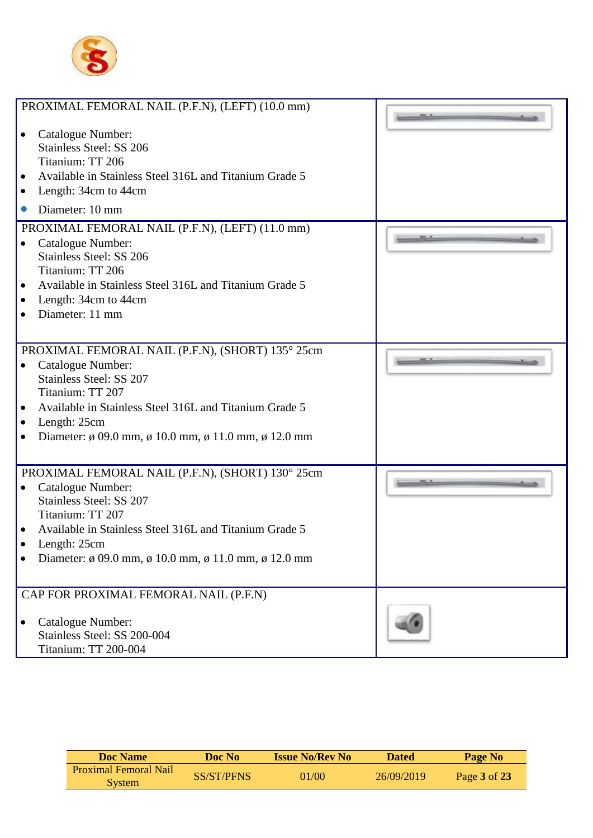

| $\bullet$<br>$\bullet$<br>$\bullet$ | PROXIMAL FEMORAL NAIL (P.F.N), (LEFT) (10.0 mm)<br>Catalogue Number:<br><b>Stainless Steel: SS 206</b><br>Titanium: TT 206<br>Available in Stainless Steel 316L and Titanium Grade 5<br>Length: 34cm to 44cm<br>Diameter: 10 mm                                                   |  |
|-------------------------------------|-----------------------------------------------------------------------------------------------------------------------------------------------------------------------------------------------------------------------------------------------------------------------------------|--|
|                                     | PROXIMAL FEMORAL NAIL (P.F.N), (LEFT) (11.0 mm)                                                                                                                                                                                                                                   |  |
| $\bullet$<br>$\bullet$<br>$\bullet$ | Catalogue Number:<br><b>Stainless Steel: SS 206</b><br>Titanium: TT 206<br>Available in Stainless Steel 316L and Titanium Grade 5<br>Length: 34cm to 44cm<br>Diameter: 11 mm                                                                                                      |  |
|                                     |                                                                                                                                                                                                                                                                                   |  |
| $\bullet$<br>$\bullet$<br>$\bullet$ | PROXIMAL FEMORAL NAIL (P.F.N), (SHORT) 135° 25cm<br>Catalogue Number:<br><b>Stainless Steel: SS 207</b><br>Titanium: TT 207<br>Available in Stainless Steel 316L and Titanium Grade 5<br>Length: 25cm<br>Diameter: $\phi$ 09.0 mm, $\phi$ 10.0 mm, $\phi$ 11.0 mm, $\phi$ 12.0 mm |  |
|                                     | PROXIMAL FEMORAL NAIL (P.F.N), (SHORT) 130° 25cm                                                                                                                                                                                                                                  |  |
| $\bullet$                           | Catalogue Number:<br>Stainless Steel: SS 207<br>Titanium: TT 207<br>Available in Stainless Steel 316L and Titanium Grade 5<br>Length: 25cm<br>Diameter: $\phi$ 09.0 mm, $\phi$ 10.0 mm, $\phi$ 11.0 mm, $\phi$ 12.0 mm                                                            |  |
|                                     | CAP FOR PROXIMAL FEMORAL NAIL (P.F.N)                                                                                                                                                                                                                                             |  |
|                                     | Catalogue Number:<br>Stainless Steel: SS 200-004<br><b>Titanium: TT 200-004</b>                                                                                                                                                                                                   |  |

| <b>Doc</b> Name                 | Doc No-    | <b>Issue No/Rev No</b> | <b>Dated</b> | Page No      |
|---------------------------------|------------|------------------------|--------------|--------------|
| Proximal Femoral Nail<br>System | SS/ST/PFNS | 01/00                  | 26/09/2019   | Page 3 of 23 |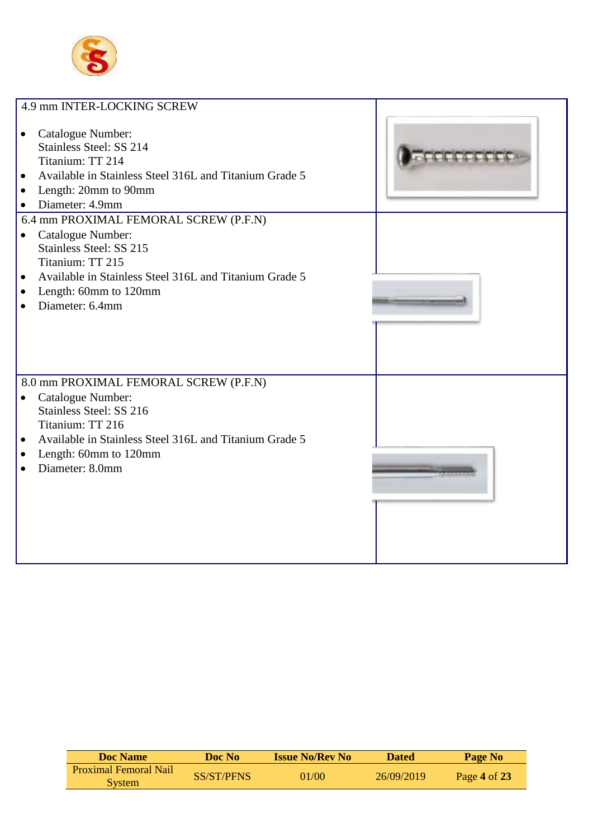

| 4.9 mm INTER-LOCKING SCREW                                                                                                                                                                      |  |
|-------------------------------------------------------------------------------------------------------------------------------------------------------------------------------------------------|--|
| Catalogue Number:<br>Stainless Steel: SS 214<br>Titanium: TT 214<br>Available in Stainless Steel 316L and Titanium Grade 5<br>$\bullet$<br>Length: 20mm to 90mm<br>$\bullet$<br>Diameter: 4.9mm |  |
| 6.4 mm PROXIMAL FEMORAL SCREW (P.F.N)                                                                                                                                                           |  |
| Catalogue Number:<br>$\bullet$                                                                                                                                                                  |  |
| Stainless Steel: SS 215<br>Titanium: TT 215                                                                                                                                                     |  |
| Available in Stainless Steel 316L and Titanium Grade 5<br>$\bullet$                                                                                                                             |  |
| Length: 60mm to 120mm<br>$\bullet$                                                                                                                                                              |  |
| Diameter: 6.4mm                                                                                                                                                                                 |  |
|                                                                                                                                                                                                 |  |
| 8.0 mm PROXIMAL FEMORAL SCREW (P.F.N)                                                                                                                                                           |  |
| Catalogue Number:<br>$\bullet$                                                                                                                                                                  |  |
| Stainless Steel: SS 216<br>Titanium: TT 216                                                                                                                                                     |  |
| Available in Stainless Steel 316L and Titanium Grade 5<br>$\bullet$                                                                                                                             |  |
| Length: 60mm to 120mm<br>$\bullet$                                                                                                                                                              |  |
| Diameter: 8.0mm                                                                                                                                                                                 |  |
|                                                                                                                                                                                                 |  |
|                                                                                                                                                                                                 |  |
|                                                                                                                                                                                                 |  |
|                                                                                                                                                                                                 |  |
|                                                                                                                                                                                                 |  |

| <b>Doc</b> Name              | Doc No     | <b>Issue No/Rev No</b> | <b>Dated</b> | Page No        |
|------------------------------|------------|------------------------|--------------|----------------|
| <b>Proximal Femoral Nail</b> | SS/ST/PFNS | 01/00                  | 26/09/2019   | Page 4 of $23$ |
| <b>System</b>                |            |                        |              |                |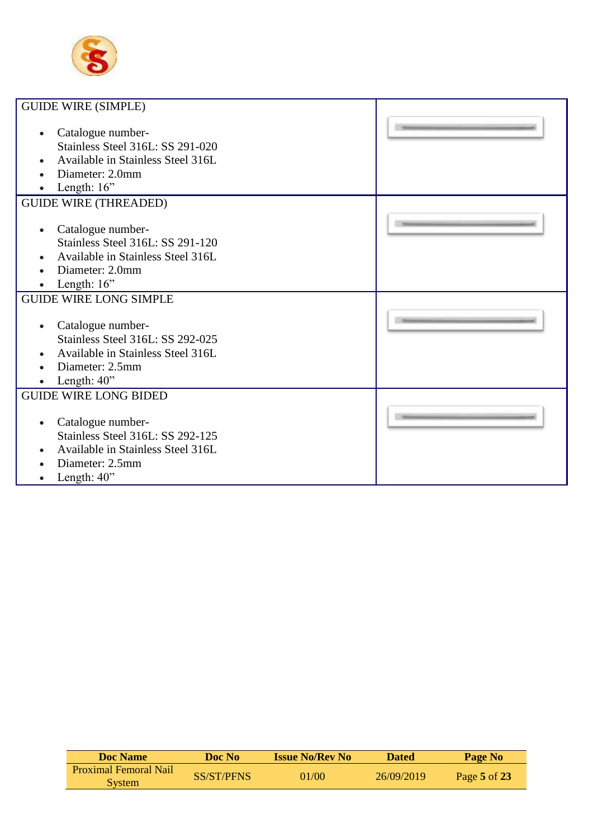

| <b>GUIDE WIRE (SIMPLE)</b>                                                                                                                             |  |
|--------------------------------------------------------------------------------------------------------------------------------------------------------|--|
| Catalogue number-<br>$\bullet$<br>Stainless Steel 316L: SS 291-020<br>Available in Stainless Steel 316L<br>Diameter: 2.0mm<br>Length: 16"              |  |
| <b>GUIDE WIRE (THREADED)</b>                                                                                                                           |  |
| Catalogue number-<br>$\bullet$<br>Stainless Steel 316L: SS 291-120<br>Available in Stainless Steel 316L<br>Diameter: 2.0mm<br>Length: $16$ "           |  |
| <b>GUIDE WIRE LONG SIMPLE</b>                                                                                                                          |  |
| Catalogue number-<br>$\bullet$<br>Stainless Steel 316L: SS 292-025<br>Available in Stainless Steel 316L<br>Diameter: 2.5mm<br>Length: 40"<br>$\bullet$ |  |
| <b>GUIDE WIRE LONG BIDED</b>                                                                                                                           |  |
| Catalogue number-<br>$\bullet$<br><b>Stainless Steel 316L: SS 292-125</b><br>Available in Stainless Steel 316L<br>Diameter: 2.5mm<br>Length: 40"       |  |

| <b>Doc</b> Name                               | Doc No            | <b>Issue No/Rev No</b> | <b>Dated</b> | Page No        |
|-----------------------------------------------|-------------------|------------------------|--------------|----------------|
| <b>Proximal Femoral Nail</b><br><b>System</b> | <b>SS/ST/PFNS</b> | 01/00                  | 26/09/2019   | Page $5$ of 23 |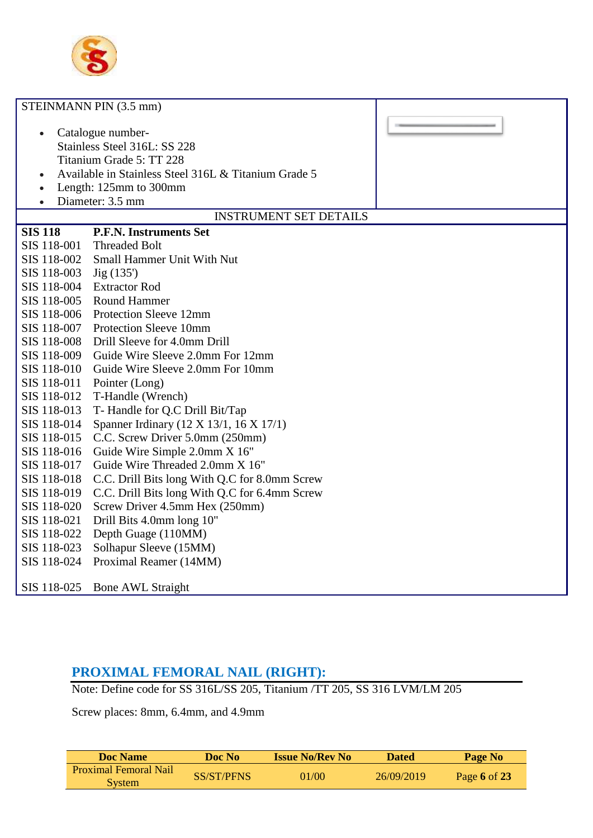

|                                                                                                                                                                                                                                         | STEINMANN PIN (3.5 mm)                        |  |
|-----------------------------------------------------------------------------------------------------------------------------------------------------------------------------------------------------------------------------------------|-----------------------------------------------|--|
| Catalogue number-<br>$\bullet$<br>Stainless Steel 316L: SS 228<br>Titanium Grade 5: TT 228<br>Available in Stainless Steel 316L & Titanium Grade 5<br>$\bullet$<br>Length: 125mm to 300mm<br>$\bullet$<br>Diameter: 3.5 mm<br>$\bullet$ |                                               |  |
|                                                                                                                                                                                                                                         | <b>INSTRUMENT SET DETAILS</b>                 |  |
| <b>SIS 118</b>                                                                                                                                                                                                                          | <b>P.F.N. Instruments Set</b>                 |  |
| SIS 118-001                                                                                                                                                                                                                             | <b>Threaded Bolt</b>                          |  |
| SIS 118-002                                                                                                                                                                                                                             | Small Hammer Unit With Nut                    |  |
| SIS 118-003                                                                                                                                                                                                                             | Jig(135')                                     |  |
| SIS 118-004                                                                                                                                                                                                                             | <b>Extractor Rod</b>                          |  |
| SIS 118-005                                                                                                                                                                                                                             | <b>Round Hammer</b>                           |  |
| SIS 118-006                                                                                                                                                                                                                             | Protection Sleeve 12mm                        |  |
| SIS 118-007                                                                                                                                                                                                                             | Protection Sleeve 10mm                        |  |
| SIS 118-008                                                                                                                                                                                                                             | Drill Sleeve for 4.0mm Drill                  |  |
| SIS 118-009                                                                                                                                                                                                                             | Guide Wire Sleeve 2.0mm For 12mm              |  |
| SIS 118-010                                                                                                                                                                                                                             | Guide Wire Sleeve 2.0mm For 10mm              |  |
| SIS 118-011                                                                                                                                                                                                                             | Pointer (Long)                                |  |
| SIS 118-012                                                                                                                                                                                                                             | T-Handle (Wrench)                             |  |
| SIS 118-013                                                                                                                                                                                                                             | T- Handle for Q.C Drill Bit/Tap               |  |
| SIS 118-014                                                                                                                                                                                                                             | Spanner Irdinary (12 X 13/1, 16 X 17/1)       |  |
| SIS 118-015                                                                                                                                                                                                                             | C.C. Screw Driver 5.0mm (250mm)               |  |
| SIS 118-016                                                                                                                                                                                                                             | Guide Wire Simple 2.0mm X 16"                 |  |
| SIS 118-017                                                                                                                                                                                                                             | Guide Wire Threaded 2.0mm X 16"               |  |
| SIS 118-018                                                                                                                                                                                                                             | C.C. Drill Bits long With Q.C for 8.0mm Screw |  |
| SIS 118-019                                                                                                                                                                                                                             | C.C. Drill Bits long With Q.C for 6.4mm Screw |  |
| SIS 118-020                                                                                                                                                                                                                             | Screw Driver 4.5mm Hex (250mm)                |  |
| SIS 118-021                                                                                                                                                                                                                             | Drill Bits 4.0mm long 10"                     |  |
| SIS 118-022                                                                                                                                                                                                                             | Depth Guage (110MM)                           |  |
| SIS 118-023                                                                                                                                                                                                                             | Solhapur Sleeve (15MM)                        |  |
| SIS 118-024                                                                                                                                                                                                                             | Proximal Reamer (14MM)                        |  |
| SIS 118-025                                                                                                                                                                                                                             | <b>Bone AWL Straight</b>                      |  |

# **PROXIMAL FEMORAL NAIL (RIGHT):**

Note: Define code for SS 316L/SS 205, Titanium /TT 205, SS 316 LVM/LM 205

Screw places: 8mm, 6.4mm, and 4.9mm

| Doc Name                                      | Doc No-           | <b>Issue No/Rev No</b> | <b>Dated</b> | Page No        |
|-----------------------------------------------|-------------------|------------------------|--------------|----------------|
| <b>Proximal Femoral Nail</b><br><b>System</b> | <b>SS/ST/PFNS</b> | 01/00                  | 26/09/2019   | Page 6 of $23$ |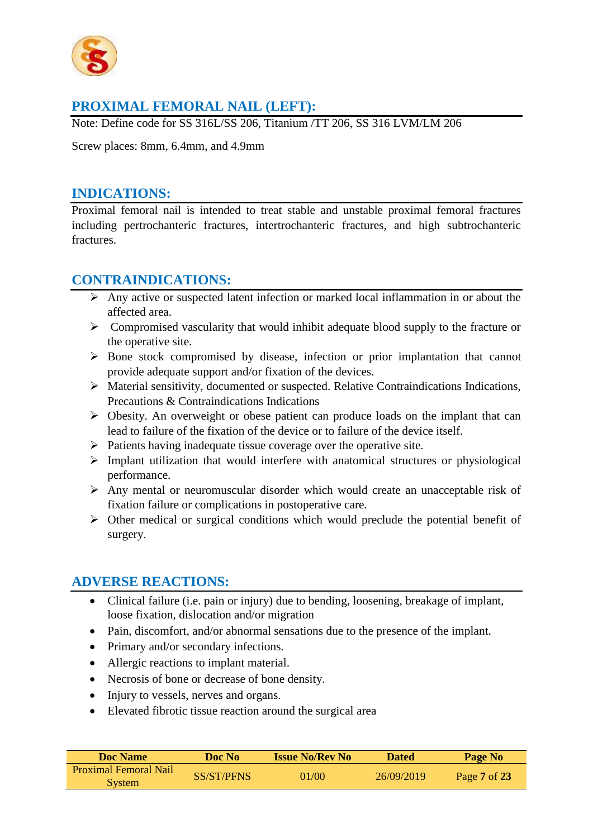

# **PROXIMAL FEMORAL NAIL (LEFT):**

Note: Define code for SS 316L/SS 206, Titanium /TT 206, SS 316 LVM/LM 206

Screw places: 8mm, 6.4mm, and 4.9mm

#### **INDICATIONS:**

Proximal femoral nail is intended to treat stable and unstable proximal femoral fractures including pertrochanteric fractures, intertrochanteric fractures, and high subtrochanteric fractures.

### **CONTRAINDICATIONS:**

- $\triangleright$  Any active or suspected latent infection or marked local inflammation in or about the affected area.
- $\triangleright$  Compromised vascularity that would inhibit adequate blood supply to the fracture or the operative site.
- $\triangleright$  Bone stock compromised by disease, infection or prior implantation that cannot provide adequate support and/or fixation of the devices.
- Material sensitivity, documented or suspected. Relative Contraindications Indications, Precautions & Contraindications Indications
- $\triangleright$  Obesity. An overweight or obese patient can produce loads on the implant that can lead to failure of the fixation of the device or to failure of the device itself.
- $\triangleright$  Patients having inadequate tissue coverage over the operative site.
- $\triangleright$  Implant utilization that would interfere with anatomical structures or physiological performance.
- $\triangleright$  Any mental or neuromuscular disorder which would create an unacceptable risk of fixation failure or complications in postoperative care.
- $\triangleright$  Other medical or surgical conditions which would preclude the potential benefit of surgery.

# **ADVERSE REACTIONS:**

- Clinical failure (i.e. pain or injury) due to bending, loosening, breakage of implant, loose fixation, dislocation and/or migration
- Pain, discomfort, and/or abnormal sensations due to the presence of the implant.
- Primary and/or secondary infections.
- Allergic reactions to implant material.
- Necrosis of bone or decrease of bone density.
- Injury to vessels, nerves and organs.
- Elevated fibrotic tissue reaction around the surgical area

| Doc Name                                      | Doc No     | <b>Issue No/Rev No</b> | <b>Dated</b> | Page No      |  |
|-----------------------------------------------|------------|------------------------|--------------|--------------|--|
| <b>Proximal Femoral Nail</b><br><b>System</b> | SS/ST/PFNS | 01/00                  | 26/09/2019   | Page 7 of 23 |  |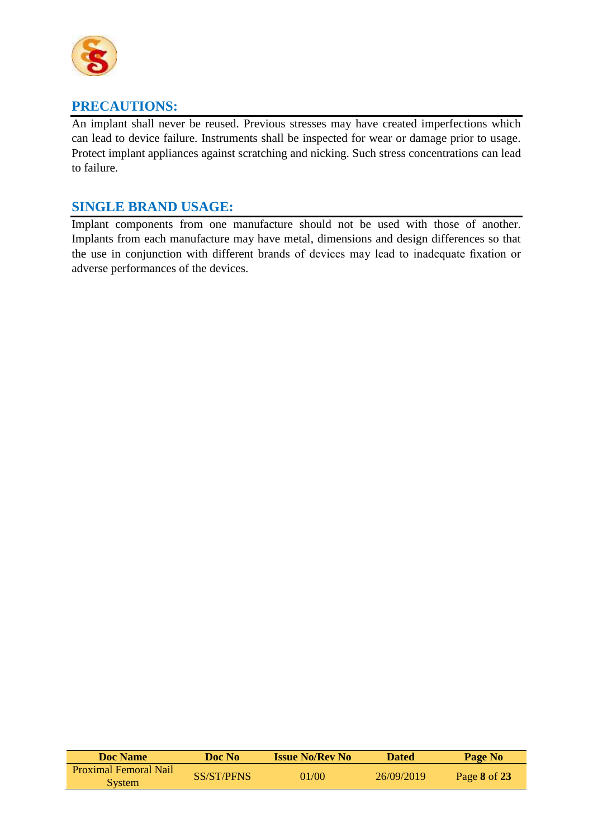

# **PRECAUTIONS:**

An implant shall never be reused. Previous stresses may have created imperfections which can lead to device failure. Instruments shall be inspected for wear or damage prior to usage. Protect implant appliances against scratching and nicking. Such stress concentrations can lead to failure.

# **SINGLE BRAND USAGE:**

Implant components from one manufacture should not be used with those of another. Implants from each manufacture may have metal, dimensions and design differences so that the use in conjunction with different brands of devices may lead to inadequate fixation or adverse performances of the devices.

| <b>Doc Name</b>                               | Doc No            | <b>Issue No/Rev No</b> | <b>Dated</b> | Page No      |
|-----------------------------------------------|-------------------|------------------------|--------------|--------------|
| <b>Proximal Femoral Nail</b><br><b>System</b> | <b>SS/ST/PFNS</b> | 01/00                  | 26/09/2019   | Page 8 of 23 |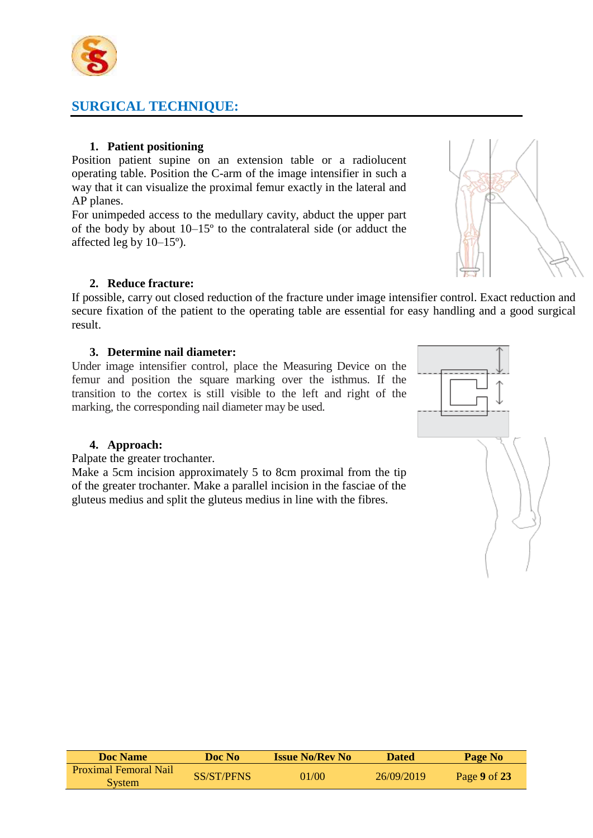

# **SURGICAL TECHNIQUE:**

#### **1. Patient positioning**

Position patient supine on an extension table or a radiolucent operating table. Position the C-arm of the image intensifier in such a way that it can visualize the proximal femur exactly in the lateral and AP planes.

For unimpeded access to the medullary cavity, abduct the upper part of the body by about 10–15º to the contralateral side (or adduct the affected leg by 10–15º).

#### **2. Reduce fracture:**

If possible, carry out closed reduction of the fracture under image intensifier control. Exact reduction and secure fixation of the patient to the operating table are essential for easy handling and a good surgical result.

#### **3. Determine nail diameter:**

Under image intensifier control, place the Measuring Device on the femur and position the square marking over the isthmus. If the transition to the cortex is still visible to the left and right of the marking, the corresponding nail diameter may be used.



#### **4. Approach:**

Palpate the greater trochanter.

Make a 5cm incision approximately 5 to 8cm proximal from the tip of the greater trochanter. Make a parallel incision in the fasciae of the gluteus medius and split the gluteus medius in line with the fibres.

**Doc Name Doc No Issue No/Rev No Dated Page No** Proximal Femoral Nail System SS/ST/PFNS 01/00 26/09/2019 Page **<sup>9</sup>** of **<sup>23</sup>**

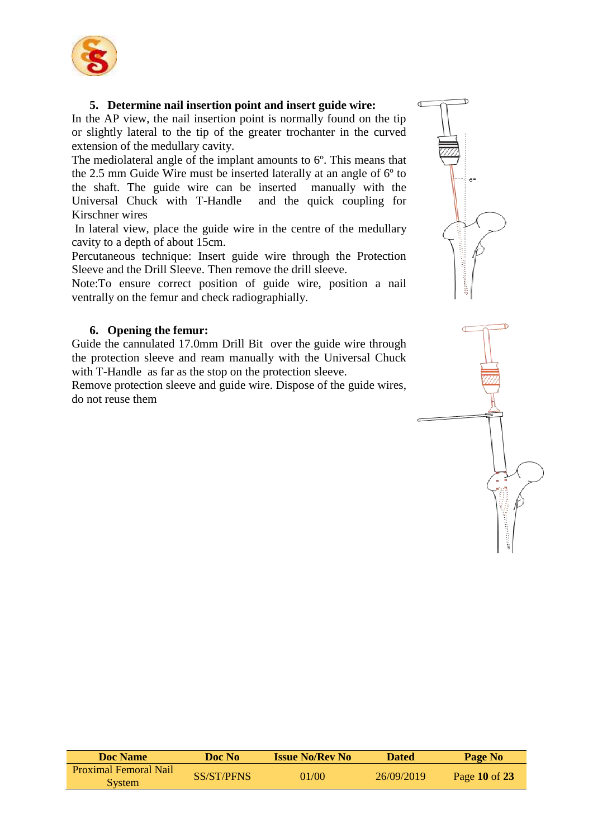

#### **5. Determine nail insertion point and insert guide wire:**

In the AP view, the nail insertion point is normally found on the tip or slightly lateral to the tip of the greater trochanter in the curved extension of the medullary cavity.

The mediolateral angle of the implant amounts to 6º. This means that the 2.5 mm Guide Wire must be inserted laterally at an angle of 6º to the shaft. The guide wire can be inserted manually with the Universal Chuck with T-Handle and the quick coupling for Kirschner wires

In lateral view, place the guide wire in the centre of the medullary cavity to a depth of about 15cm.

Percutaneous technique: Insert guide wire through the Protection Sleeve and the Drill Sleeve. Then remove the drill sleeve.

Note:To ensure correct position of guide wire, position a nail ventrally on the femur and check radiographially.

#### **6. Opening the femur:**

Guide the cannulated 17.0mm Drill Bit over the guide wire through the protection sleeve and ream manually with the Universal Chuck with T-Handle as far as the stop on the protection sleeve.

Remove protection sleeve and guide wire. Dispose of the guide wires, do not reuse them





| Doc Name                                      | Doc No     | <b>Issue No/Rev No</b> | <b>Dated</b> | Page No       |
|-----------------------------------------------|------------|------------------------|--------------|---------------|
| <b>Proximal Femoral Nail</b><br><b>System</b> | SS/ST/PFNS | 01/00                  | 26/09/2019   | Page 10 of 23 |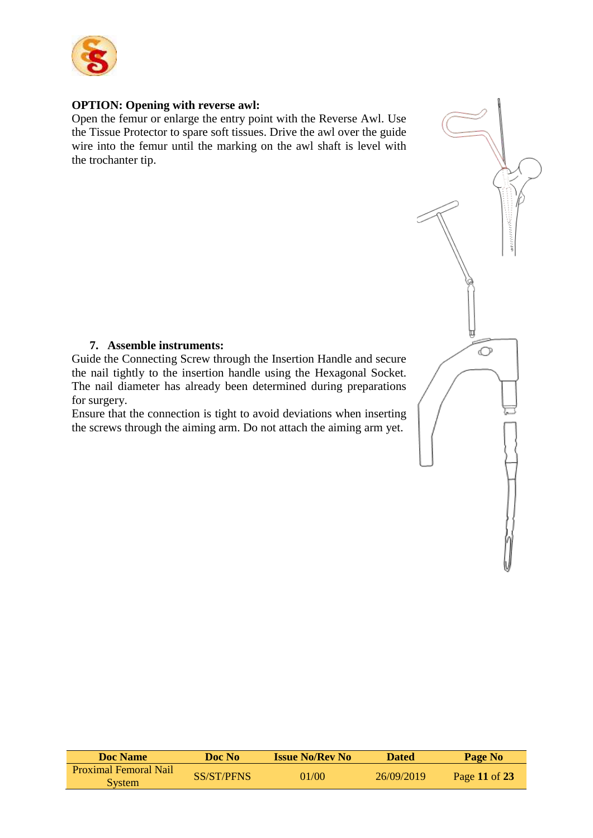

#### **OPTION: Opening with reverse awl:**

Open the femur or enlarge the entry point with the Reverse Awl. Use the Tissue Protector to spare soft tissues. Drive the awl over the guide wire into the femur until the marking on the awl shaft is level with the trochanter tip.

#### **7. Assemble instruments:**

Guide the Connecting Screw through the Insertion Handle and secure the nail tightly to the insertion handle using the Hexagonal Socket. The nail diameter has already been determined during preparations for surgery.

 $\circ$ 

Ensure that the connection is tight to avoid deviations when inserting the screws through the aiming arm. Do not attach the aiming arm yet.

| <b>Doc Name</b>                               | Doc No     | <b>Issue No/Rev No</b> | <b>Dated</b> | Page No       |
|-----------------------------------------------|------------|------------------------|--------------|---------------|
| <b>Proximal Femoral Nail</b><br><b>System</b> | SS/ST/PFNS | 01/00                  | 26/09/2019   | Page 11 of 23 |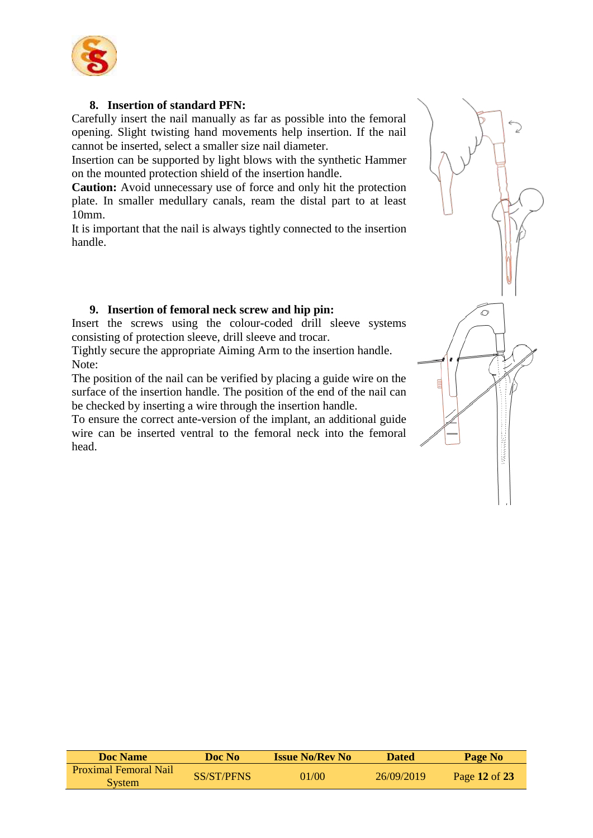

#### **8. Insertion of standard PFN:**

Carefully insert the nail manually as far as possible into the femoral opening. Slight twisting hand movements help insertion. If the nail cannot be inserted, select a smaller size nail diameter.

Insertion can be supported by light blows with the synthetic Hammer on the mounted protection shield of the insertion handle.

**Caution:** Avoid unnecessary use of force and only hit the protection plate. In smaller medullary canals, ream the distal part to at least 10mm.

It is important that the nail is always tightly connected to the insertion handle.

#### **9. Insertion of femoral neck screw and hip pin:**

Insert the screws using the colour-coded drill sleeve systems consisting of protection sleeve, drill sleeve and trocar.

Tightly secure the appropriate Aiming Arm to the insertion handle. Note:

The position of the nail can be verified by placing a guide wire on the surface of the insertion handle. The position of the end of the nail can be checked by inserting a wire through the insertion handle.

To ensure the correct ante-version of the implant, an additional guide wire can be inserted ventral to the femoral neck into the femoral head.



| <b>Doc</b> Name                        | Doc No     | <b>Issue No/Rev No</b> | <b>Dated</b> | Page No       |
|----------------------------------------|------------|------------------------|--------------|---------------|
| <b>Proximal Femoral Nail</b><br>System | SS/ST/PFNS | 01/00                  | 26/09/2019   | Page 12 of 23 |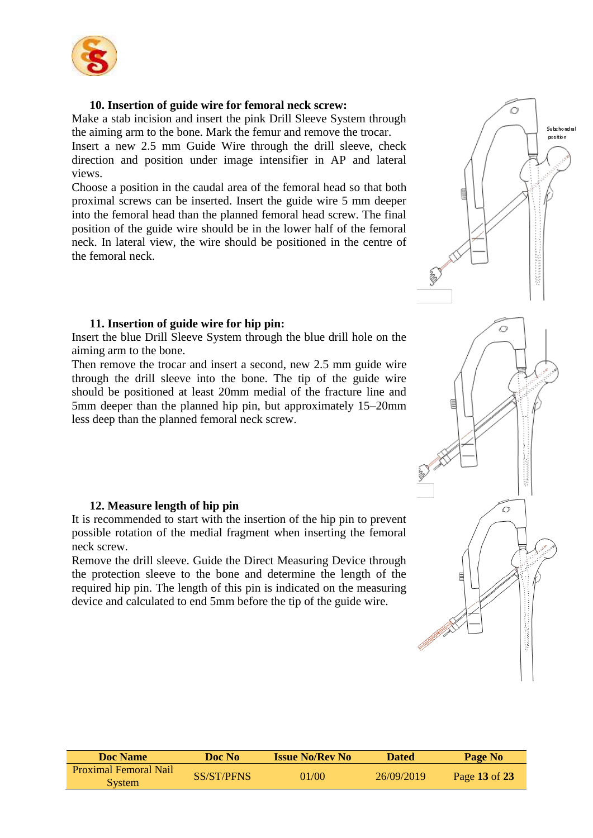

#### **10. Insertion of guide wire for femoral neck screw:**

Make a stab incision and insert the pink Drill Sleeve System through the aiming arm to the bone. Mark the femur and remove the trocar.

Insert a new 2.5 mm Guide Wire through the drill sleeve, check direction and position under image intensifier in AP and lateral views.

Choose a position in the caudal area of the femoral head so that both proximal screws can be inserted. Insert the guide wire 5 mm deeper into the femoral head than the planned femoral head screw. The final position of the guide wire should be in the lower half of the femoral neck. In lateral view, the wire should be positioned in the centre of the femoral neck.

#### **11. Insertion of guide wire for hip pin:**

Insert the blue Drill Sleeve System through the blue drill hole on the aiming arm to the bone.

Then remove the trocar and insert a second, new 2.5 mm guide wire through the drill sleeve into the bone. The tip of the guide wire should be positioned at least 20mm medial of the fracture line and 5mm deeper than the planned hip pin, but approximately 15–20mm less deep than the planned femoral neck screw.

#### **12. Measure length of hip pin**

It is recommended to start with the insertion of the hip pin to prevent possible rotation of the medial fragment when inserting the femoral neck screw.

Remove the drill sleeve. Guide the Direct Measuring Device through the protection sleeve to the bone and determine the length of the required hip pin. The length of this pin is indicated on the measuring device and calculated to end 5mm before the tip of the guide wire.

| Doc Name                               | <b>Doc No</b>     | <b>Issue No/Rev No</b> | <b>Dated</b> | Page No       |
|----------------------------------------|-------------------|------------------------|--------------|---------------|
| <b>Proximal Femoral Nail</b><br>System | <b>SS/ST/PFNS</b> | 01/00                  | 26/09/2019   | Page 13 of 23 |

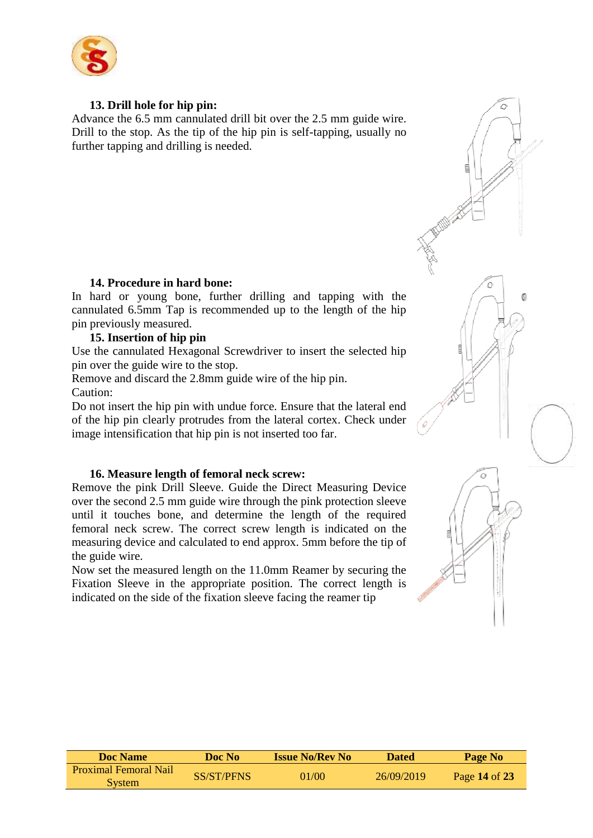

#### **13. Drill hole for hip pin:**

Advance the 6.5 mm cannulated drill bit over the 2.5 mm guide wire. Drill to the stop. As the tip of the hip pin is self-tapping, usually no further tapping and drilling is needed.

#### **14. Procedure in hard bone:**

In hard or young bone, further drilling and tapping with the cannulated 6.5mm Tap is recommended up to the length of the hip pin previously measured.

#### **15. Insertion of hip pin**

Use the cannulated Hexagonal Screwdriver to insert the selected hip pin over the guide wire to the stop.

Remove and discard the 2.8mm guide wire of the hip pin. Caution:

Do not insert the hip pin with undue force. Ensure that the lateral end of the hip pin clearly protrudes from the lateral cortex. Check under image intensification that hip pin is not inserted too far.

#### **16. Measure length of femoral neck screw:**

Remove the pink Drill Sleeve. Guide the Direct Measuring Device over the second 2.5 mm guide wire through the pink protection sleeve until it touches bone, and determine the length of the required femoral neck screw. The correct screw length is indicated on the measuring device and calculated to end approx. 5mm before the tip of the guide wire.

Now set the measured length on the 11.0mm Reamer by securing the Fixation Sleeve in the appropriate position. The correct length is indicated on the side of the fixation sleeve facing the reamer tip



| <b>Doc Name</b>                               | Doc No            | <b>Issue No/Rev No</b> | <b>Dated</b> | Page No       |
|-----------------------------------------------|-------------------|------------------------|--------------|---------------|
| <b>Proximal Femoral Nail</b><br><b>System</b> | <b>SS/ST/PFNS</b> | 01/00                  | 26/09/2019   | Page 14 of 23 |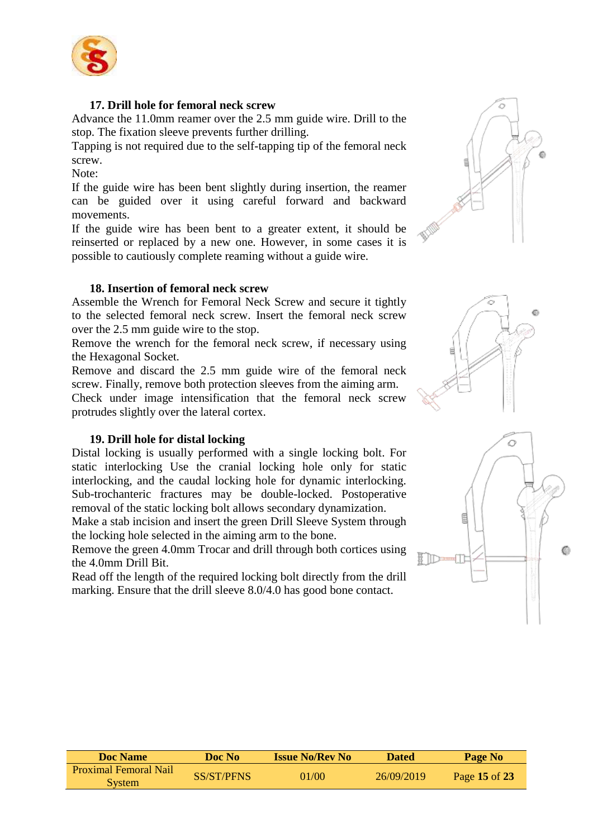

#### **17. Drill hole for femoral neck screw**

Advance the 11.0mm reamer over the 2.5 mm guide wire. Drill to the stop. The fixation sleeve prevents further drilling.

Tapping is not required due to the self-tapping tip of the femoral neck screw.

Note:

If the guide wire has been bent slightly during insertion, the reamer can be guided over it using careful forward and backward movements.

If the guide wire has been bent to a greater extent, it should be reinserted or replaced by a new one. However, in some cases it is possible to cautiously complete reaming without a guide wire.

#### **18. Insertion of femoral neck screw**

Assemble the Wrench for Femoral Neck Screw and secure it tightly to the selected femoral neck screw. Insert the femoral neck screw over the 2.5 mm guide wire to the stop.

Remove the wrench for the femoral neck screw, if necessary using the Hexagonal Socket.

Remove and discard the 2.5 mm guide wire of the femoral neck screw. Finally, remove both protection sleeves from the aiming arm. Check under image intensification that the femoral neck screw protrudes slightly over the lateral cortex.

#### **19. Drill hole for distal locking**

Distal locking is usually performed with a single locking bolt. For static interlocking Use the cranial locking hole only for static interlocking, and the caudal locking hole for dynamic interlocking. Sub-trochanteric fractures may be double-locked. Postoperative removal of the static locking bolt allows secondary dynamization.

Make a stab incision and insert the green Drill Sleeve System through the locking hole selected in the aiming arm to the bone.

Remove the green 4.0mm Trocar and drill through both cortices using the 4.0mm Drill Bit.

Read off the length of the required locking bolt directly from the drill marking. Ensure that the drill sleeve 8.0/4.0 has good bone contact.







| <b>Doc Name</b>                               | Doc No     | <b>Issue No/Rev No</b> | <b>Dated</b> | Page No       |
|-----------------------------------------------|------------|------------------------|--------------|---------------|
| <b>Proximal Femoral Nail</b><br><b>System</b> | SS/ST/PFNS | 01/00                  | 26/09/2019   | Page 15 of 23 |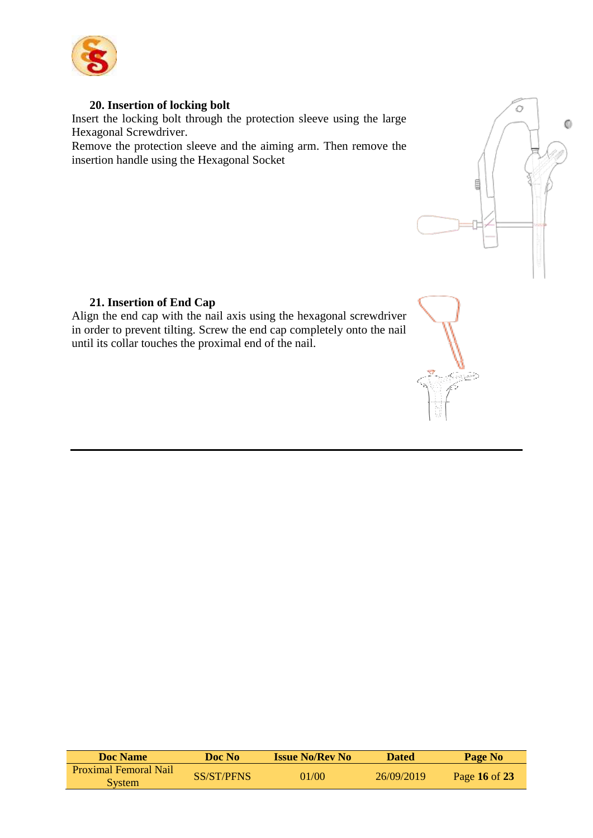

#### **20. Insertion of locking bolt**

Insert the locking bolt through the protection sleeve using the large Hexagonal Screwdriver.

Remove the protection sleeve and the aiming arm. Then remove the insertion handle using the Hexagonal Socket



#### **21. Insertion of End Cap**

Align the end cap with the nail axis using the hexagonal screwdriver in order to prevent tilting. Screw the end cap completely onto the nail until its collar touches the proximal end of the nail.



| Doc Name                     | Doc No     | <b>Issue No/Rev No</b> | <b>Dated</b> | Page No       |
|------------------------------|------------|------------------------|--------------|---------------|
| <b>Proximal Femoral Nail</b> | SS/ST/PFNS | 01/00                  | 26/09/2019   |               |
| <b>System</b>                |            |                        |              | Page 16 of 23 |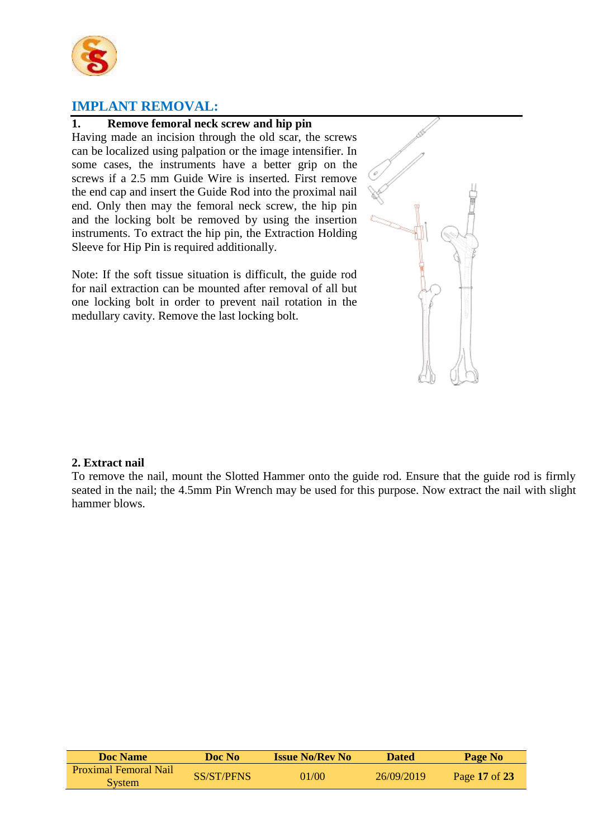

# **IMPLANT REMOVAL:**

#### **1. Remove femoral neck screw and hip pin**

Having made an incision through the old scar, the screws can be localized using palpation or the image intensifier. In some cases, the instruments have a better grip on the screws if a 2.5 mm Guide Wire is inserted. First remove the end cap and insert the Guide Rod into the proximal nail end. Only then may the femoral neck screw, the hip pin and the locking bolt be removed by using the insertion instruments. To extract the hip pin, the Extraction Holding Sleeve for Hip Pin is required additionally.

Note: If the soft tissue situation is difficult, the guide rod for nail extraction can be mounted after removal of all but one locking bolt in order to prevent nail rotation in the medullary cavity. Remove the last locking bolt.



To remove the nail, mount the Slotted Hammer onto the guide rod. Ensure that the guide rod is firmly seated in the nail; the 4.5mm Pin Wrench may be used for this purpose. Now extract the nail with slight hammer blows.

| Doc Name                                      | Doc No-    | <b>Issue No/Rev No</b> | <b>Dated</b> | Page No       |
|-----------------------------------------------|------------|------------------------|--------------|---------------|
| <b>Proximal Femoral Nail</b><br><b>System</b> | SS/ST/PFNS | 01/00                  | 26/09/2019   | Page 17 of 23 |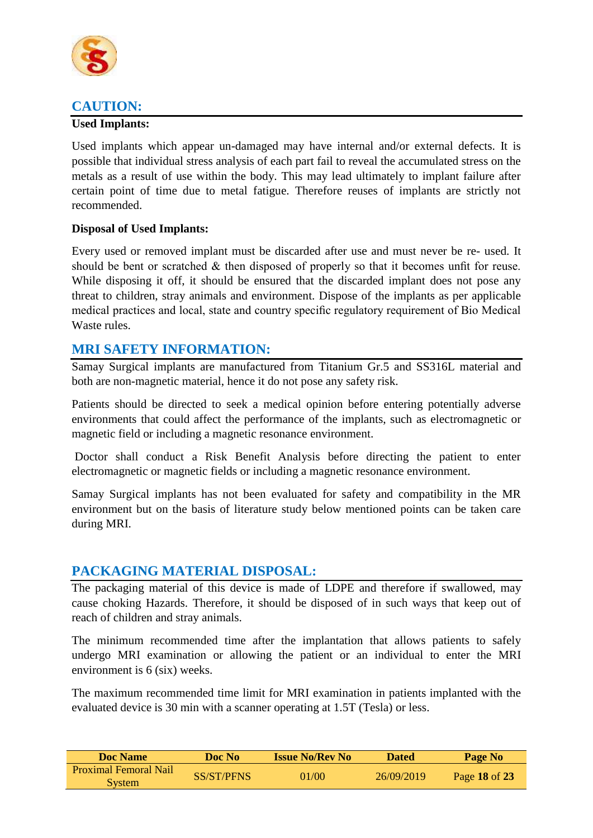

# **CAUTION:**

#### **Used Implants:**

Used implants which appear un-damaged may have internal and/or external defects. It is possible that individual stress analysis of each part fail to reveal the accumulated stress on the metals as a result of use within the body. This may lead ultimately to implant failure after certain point of time due to metal fatigue. Therefore reuses of implants are strictly not recommended.

#### **Disposal of Used Implants:**

Every used or removed implant must be discarded after use and must never be re- used. It should be bent or scratched & then disposed of properly so that it becomes unfit for reuse. While disposing it off, it should be ensured that the discarded implant does not pose any threat to children, stray animals and environment. Dispose of the implants as per applicable medical practices and local, state and country specific regulatory requirement of Bio Medical Waste rules.

### **MRI SAFETY INFORMATION:**

Samay Surgical implants are manufactured from Titanium Gr.5 and SS316L material and both are non-magnetic material, hence it do not pose any safety risk.

Patients should be directed to seek a medical opinion before entering potentially adverse environments that could affect the performance of the implants, such as electromagnetic or magnetic field or including a magnetic resonance environment.

Doctor shall conduct a Risk Benefit Analysis before directing the patient to enter electromagnetic or magnetic fields or including a magnetic resonance environment.

Samay Surgical implants has not been evaluated for safety and compatibility in the MR environment but on the basis of literature study below mentioned points can be taken care during MRI.

### **PACKAGING MATERIAL DISPOSAL:**

The packaging material of this device is made of LDPE and therefore if swallowed, may cause choking Hazards. Therefore, it should be disposed of in such ways that keep out of reach of children and stray animals.

The minimum recommended time after the implantation that allows patients to safely undergo MRI examination or allowing the patient or an individual to enter the MRI environment is 6 (six) weeks.

The maximum recommended time limit for MRI examination in patients implanted with the evaluated device is 30 min with a scanner operating at 1.5T (Tesla) or less.

| Doc Name                                      | Doc No            | <b>Issue No/Rev No</b> | <b>Dated</b> | Page No       |
|-----------------------------------------------|-------------------|------------------------|--------------|---------------|
| <b>Proximal Femoral Nail</b><br><b>System</b> | <b>SS/ST/PFNS</b> | 01/00                  | 26/09/2019   | Page 18 of 23 |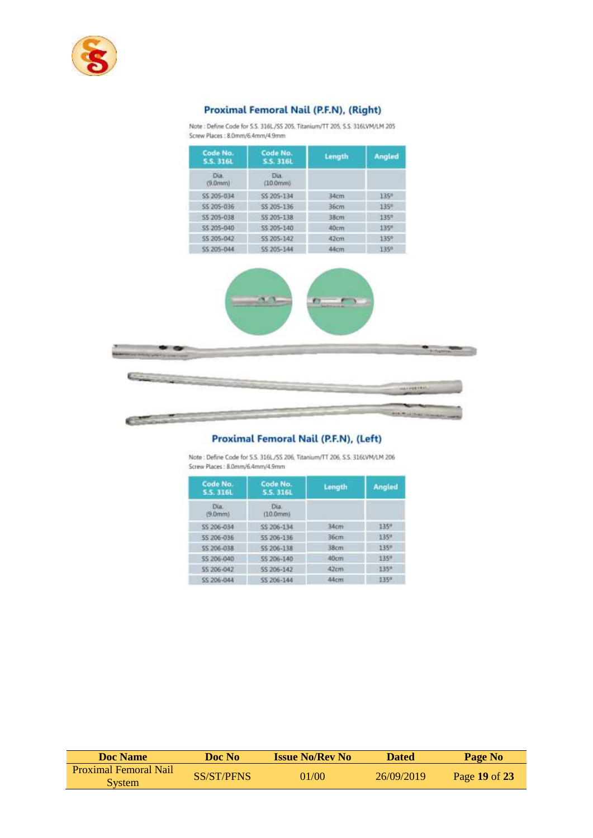

#### Proximal Femoral Nail (P.F.N), (Right)

Note: Define Code for S.S. 316L/SS 205. Titanium/TT 205, S.S. 316LVM/LM 205 Screw Places: 8.0mm/6.4mm/4.9mm



#### Proximal Femoral Nail (P.F.N), (Left)

Note: Define Code for S.S. 316L/SS 206, Titanium/TT 206, S.S. 316LVM/LM 206 Screw Places : 8.0mm/6.4mm/4.9mm

| Code No.<br>5.5.316L | Code No.<br><b>5.5.316L</b> | Length | Angled |
|----------------------|-----------------------------|--------|--------|
| Dia.<br>(9.0mm)      | Dia.<br>(10.0mm)            |        |        |
| 55 206-034           | \$\$ 206-134                | 34cm   | 1350   |
| 55 206-036           | 55 206-136                  | 36cm   | 1350   |
| SS 206-038           | SS 206-138                  | 38cm   | 135%   |
| SS 206-040           | SS 206-140                  | 40cm   | 135"   |
| SS 206-042           | <b>5S 206-142</b>           | 42cm   | 1350   |
| 55 206-044           | SS 206-144                  | 44cm   | 1359   |

| Doc Name                                      | Doc No     | <b>Issue No/Rev No</b> | <b>Dated</b> | Page No       |
|-----------------------------------------------|------------|------------------------|--------------|---------------|
| <b>Proximal Femoral Nail</b><br><b>System</b> | SS/ST/PFNS | 01/00                  | 26/09/2019   | Page 19 of 23 |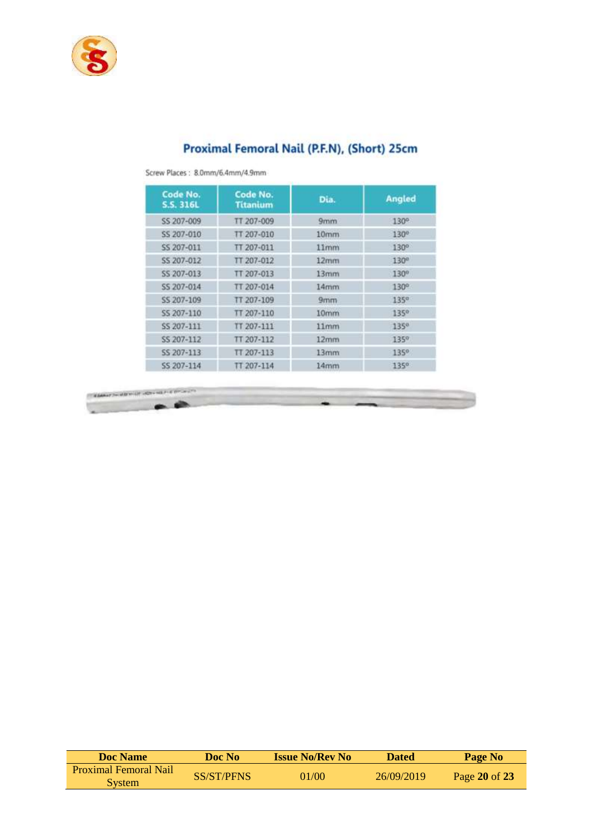

# Proximal Femoral Nail (P.F.N), (Short) 25cm

| Code No.<br>S.S. 316L | Code No.<br><b>Titanium</b> | Dia.             | <b>Angled</b>    |
|-----------------------|-----------------------------|------------------|------------------|
| SS 207-009            | TT 207-009                  | 9mm              | 130°             |
| SS 207-010            | TT 207-010                  | 10 <sub>mm</sub> | 130°             |
| SS 207-011            | TT 207-011                  | 11mm             | 130°             |
| SS 207-012            | TT 207-012                  | 12 <sub>mm</sub> | 130 <sup>a</sup> |
| SS 207-013            | TT 207-013                  | 13mm             | $130^\circ$      |
| SS 207-014            | TT 207-014                  | 14 <sub>mm</sub> | $130^\circ$      |
| SS 207-109            | TT 207-109                  | 9mm              | 135 <sup>o</sup> |
| SS 207-110            | TT 207-110                  | 10mm             | 1350             |
| SS 207-111            | TT 207-111                  | 11mm             | 1350             |
| SS 207-112            | TT 207-112                  | 12mm             | 135%             |
| SS 207-113            | TT 207-113                  | 13 <sub>mm</sub> | 135%             |
| SS 207-114            | TT 207-114                  | 14mm             | 1350             |

Screw Places: 8.0mm/6.4mm/4.9mm



| <b>Doc Name</b>              | Doc No            | <b>Issue No/Rev No</b> | <b>Dated</b> | Page No       |
|------------------------------|-------------------|------------------------|--------------|---------------|
| <b>Proximal Femoral Nail</b> | <b>SS/ST/PFNS</b> | 01/00                  | 26/09/2019   | Page 20 of 23 |
| <b>System</b>                |                   |                        |              |               |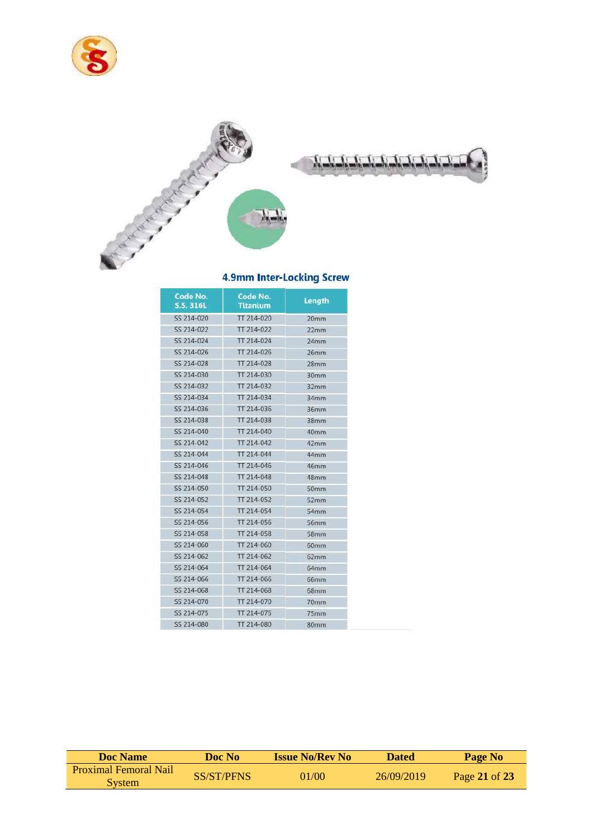



#### 4.9mm Inter-Locking Screw

| Code No.<br><b>S.S. 316L</b> | Code No.<br><b>Titanium</b> | Length           |
|------------------------------|-----------------------------|------------------|
| SS 214-020                   | TT 214-020                  | 20mm             |
| SS 214-022                   | TT 214-022                  | 22mm             |
| SS 214-024                   | TT 214-024                  | 24mm             |
| SS 214-026                   | TT 214-026                  | 26mm             |
| SS 214-028                   | TT 214-028                  | 28mm             |
| SS 214-030                   | TT 214-030                  | 30mm             |
| SS 214-032                   | TT 214-032                  | 32mm             |
| SS 214-034                   | TT 214-034                  | 34mm             |
| SS 214-036                   | TT 214-036                  | 36mm             |
| SS 214-038                   | TT 214-038                  | 38 <sub>mm</sub> |
| SS 214-040                   | TT 214-040                  | 40mm             |
| SS 214-042                   | TT 214-042                  | 42mm             |
| SS 214-044                   | TT 214-044                  | 44mm             |
| SS 214-046                   | TT 214-046                  | 46mm             |
| SS 214-048                   | TT 214-048                  | 48mm             |
| SS 214-050                   | TT 214-050                  | 50mm             |
| SS 214-052                   | TT 214-052                  | 52mm             |
| SS 214-054                   | TT 214-054                  | 54mm             |
| SS 214-056                   | TT 214-056                  | 56mm             |
| SS 214-058                   | TT 214-058                  | 58mm             |
| SS 214-060                   | TT 214-060                  | 60mm             |
| SS 214-062                   | TT 214-062                  | 62mm             |
| SS 214-064                   | TT 214-064                  | 64mm             |
| SS 214-066                   | TT 214-066                  | <b>66mm</b>      |
| SS 214-068                   | TT 214-068                  | 68mm             |
| SS 214-070                   | TT 214-070                  | 70mm             |
| SS 214-075                   | TT 214-075                  | 75mm             |
| SS 214-080                   | TT 214-080                  | 80mm             |

| <b>Doc Name</b>                               | Doc No-           | <b>Issue No/Rev No</b> | <b>Dated</b> | Page No       |
|-----------------------------------------------|-------------------|------------------------|--------------|---------------|
| <b>Proximal Femoral Nail</b><br><b>System</b> | <b>SS/ST/PFNS</b> | 01/00                  | 26/09/2019   | Page 21 of 23 |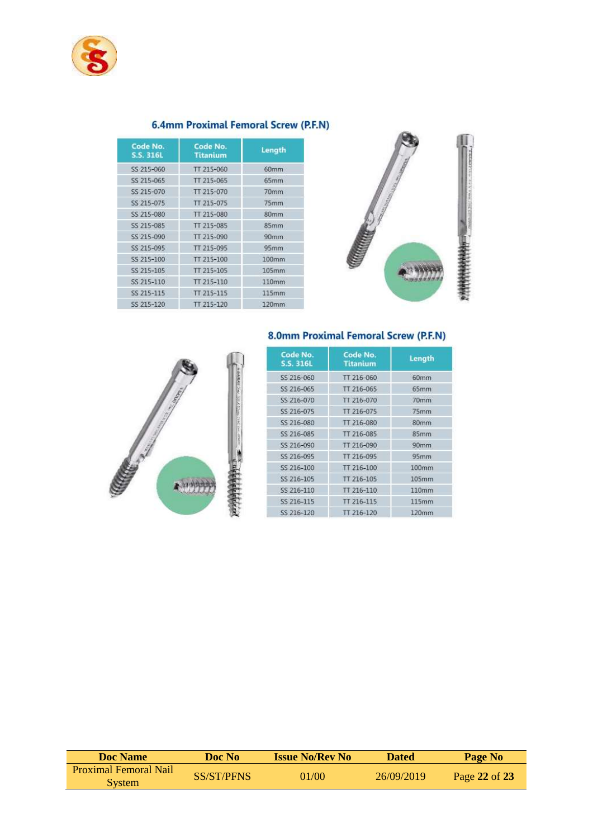

#### 6.4mm Proximal Femoral Screw (P.F.N)

| Code No.<br>S.S. 316L | Code No.<br><b>Titanium</b> | Length            |
|-----------------------|-----------------------------|-------------------|
| SS 215-060            | TT 215-060                  | 60mm              |
| SS 215-065            | TT 215-065                  | 65mm              |
| SS 215-070            | TT 215-070                  | 70 <sub>mm</sub>  |
| SS 215-075            | TT 215-075                  | 75mm              |
| SS 215-080            | TT 215-080                  | 80 <sub>mm</sub>  |
| SS 215-085            | TT 215-085                  | 85mm              |
| SS 215-090            | TT 215-090                  | 90mm              |
| SS 215-095            | TT 215-095                  | 95mm              |
| SS 215-100            | TT 215-100                  | 100mm             |
| SS 215-105            | TT 215-105                  | $105$ mm          |
| SS 215-110            | TT 215-110                  | 110 <sub>mm</sub> |
| SS 215-115            | TT 215-115                  | 115mm             |
| SS 215-120            | TT 215-120                  | 120mm             |





| Code No.<br>S.S. 316L | Code No.<br><b>Titanium</b> | Length           |  |
|-----------------------|-----------------------------|------------------|--|
| 55 216-060            | TT 216-060                  | 60mm             |  |
| SS 216-065            | TT 216-065                  | 65mm             |  |
| SS 216-070            | TT 216-070                  | 70mm             |  |
| SS 216-075            | TT 216-075                  | 75mm             |  |
| SS 216-080            | TT 216-080                  | 80mm             |  |
| SS 216-085            | TT 216-085                  | 85mm             |  |
| SS 216-090            | TT 216-090                  | 90 <sub>mm</sub> |  |
| SS 216-095            | TT 216-095                  | 95 <sub>mm</sub> |  |
| SS 216-100            | TT 216-100                  | 100mm            |  |
| SS 216-105            | TT 216-105                  | 105mm            |  |
| SS 216-110            | TT 216-110                  | 110mm            |  |
| SS 216-115            | TT 216-115                  | 115mm            |  |
| SS 216-120            | TT 216-120                  | 120mm            |  |

8.0mm Proximal Femoral Screw (P.F.N)

| <b>Doc Name</b>                               | Doc No            | <b>Issue No/Rev No</b> | <b>Dated</b> | Page No       |
|-----------------------------------------------|-------------------|------------------------|--------------|---------------|
| <b>Proximal Femoral Nail</b><br><b>System</b> | <b>SS/ST/PFNS</b> | 01/00                  | 26/09/2019   | Page 22 of 23 |